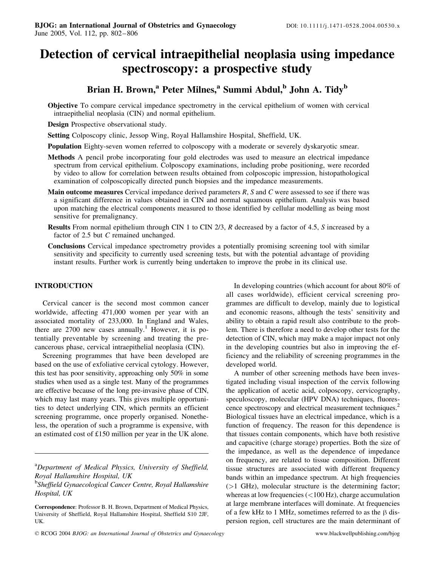# Detection of cervical intraepithelial neoplasia using impedance spectroscopy: a prospective study

# Brian H. Brown,<sup>a</sup> Peter Milnes,<sup>a</sup> Summi Abdul,<sup>b</sup> John A. Tidy<sup>b</sup>

Objective To compare cervical impedance spectrometry in the cervical epithelium of women with cervical intraepithelial neoplasia (CIN) and normal epithelium.

Design Prospective observational study.

Setting Colposcopy clinic, Jessop Wing, Royal Hallamshire Hospital, Sheffield, UK.

Population Eighty-seven women referred to colposcopy with a moderate or severely dyskaryotic smear.

- Methods A pencil probe incorporating four gold electrodes was used to measure an electrical impedance spectrum from cervical epithelium. Colposcopy examinations, including probe positioning, were recorded by video to allow for correlation between results obtained from colposcopic impression, histopathological examination of colposcopically directed punch biopsies and the impedance measurements.
- **Main outcome measures** Cervical impedance derived parameters  $R$ ,  $S$  and  $C$  were assessed to see if there was a significant difference in values obtained in CIN and normal squamous epithelium. Analysis was based upon matching the electrical components measured to those identified by cellular modelling as being most sensitive for premalignancy.
- Results From normal epithelium through CIN 1 to CIN 2/3, R decreased by a factor of 4.5, S increased by a factor of 2.5 but C remained unchanged.
- Conclusions Cervical impedance spectrometry provides a potentially promising screening tool with similar sensitivity and specificity to currently used screening tests, but with the potential advantage of providing instant results. Further work is currently being undertaken to improve the probe in its clinical use.

## INTRODUCTION

Cervical cancer is the second most common cancer worldwide, affecting 471,000 women per year with an associated mortality of 233,000. In England and Wales, there are  $2700$  new cases annually.<sup>1</sup> However, it is potentially preventable by screening and treating the precancerous phase, cervical intraepithelial neoplasia (CIN).

Screening programmes that have been developed are based on the use of exfoliative cervical cytology. However, this test has poor sensitivity, approaching only 50% in some studies when used as a single test. Many of the programmes are effective because of the long pre-invasive phase of CIN, which may last many years. This gives multiple opportunities to detect underlying CIN, which permits an efficient screening programme, once properly organised. Nonetheless, the operation of such a programme is expensive, with an estimated cost of £150 million per year in the UK alone.

<sup>a</sup>Department of Medical Physics, University of Sheffield, Royal Hallamshire Hospital, UK

In developing countries (which account for about 80% of all cases worldwide), efficient cervical screening programmes are difficult to develop, mainly due to logistical and economic reasons, although the tests' sensitivity and ability to obtain a rapid result also contribute to the problem. There is therefore a need to develop other tests for the detection of CIN, which may make a major impact not only in the developing countries but also in improving the efficiency and the reliability of screening programmes in the developed world.

A number of other screening methods have been investigated including visual inspection of the cervix following the application of acetic acid, colposcopy, cervicography, speculoscopy, molecular (HPV DNA) techniques, fluorescence spectroscopy and electrical measurement techniques.<sup>2</sup> Biological tissues have an electrical impedance, which is a function of frequency. The reason for this dependence is that tissues contain components, which have both resistive and capacitive (charge storage) properties. Both the size of the impedance, as well as the dependence of impedance on frequency, are related to tissue composition. Different tissue structures are associated with different frequency bands within an impedance spectrum. At high frequencies (>1 GHz), molecular structure is the determining factor; whereas at low frequencies  $\left($  < 100 Hz), charge accumulation at large membrane interfaces will dominate. At frequencies of a few kHz to 1 MHz, sometimes referred to as the  $\beta$  dispersion region, cell structures are the main determinant of

<sup>&</sup>lt;sup>b</sup>Sheffield Gynaecological Cancer Centre, Royal Hallamshire Hospital, UK

Correspondence: Professor B. H. Brown, Department of Medical Physics, University of Sheffield, Royal Hallamshire Hospital, Sheffield S10 2JF, UK.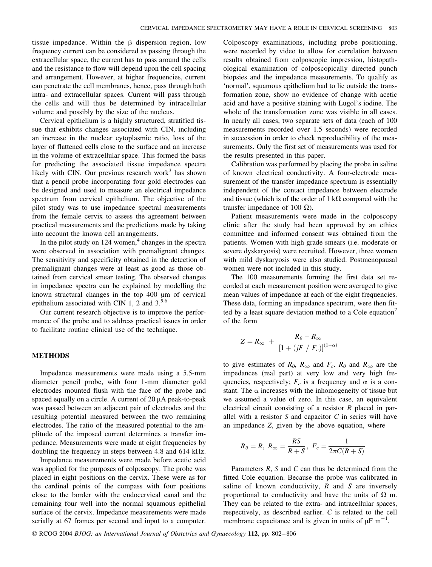tissue impedance. Within the  $\beta$  dispersion region, low frequency current can be considered as passing through the extracellular space, the current has to pass around the cells and the resistance to flow will depend upon the cell spacing and arrangement. However, at higher frequencies, current can penetrate the cell membranes, hence, pass through both intra- and extracellular spaces. Current will pass through the cells and will thus be determined by intracellular volume and possibly by the size of the nucleus.

Cervical epithelium is a highly structured, stratified tissue that exhibits changes associated with CIN, including an increase in the nuclear cytoplasmic ratio, loss of the layer of flattened cells close to the surface and an increase in the volume of extracellular space. This formed the basis for predicting the associated tissue impedance spectra likely with CIN. Our previous research work $3$  has shown that a pencil probe incorporating four gold electrodes can be designed and used to measure an electrical impedance spectrum from cervical epithelium. The objective of the pilot study was to use impedance spectral measurements from the female cervix to assess the agreement between practical measurements and the predictions made by taking into account the known cell arrangements.

In the pilot study on  $124$  women,<sup>4</sup> changes in the spectra were observed in association with premalignant changes. The sensitivity and specificity obtained in the detection of premalignant changes were at least as good as those obtained from cervical smear testing. The observed changes in impedance spectra can be explained by modelling the known structural changes in the top  $400 \mu m$  of cervical epithelium associated with CIN 1, 2 and  $3<sup>5,6</sup>$ 

Our current research objective is to improve the performance of the probe and to address practical issues in order to facilitate routine clinical use of the technique.

#### METHODS

Impedance measurements were made using a 5.5-mm diameter pencil probe, with four 1-mm diameter gold electrodes mounted flush with the face of the probe and spaced equally on a circle. A current of  $20 \mu A$  peak-to-peak was passed between an adjacent pair of electrodes and the resulting potential measured between the two remaining electrodes. The ratio of the measured potential to the amplitude of the imposed current determines a transfer impedance. Measurements were made at eight frequencies by doubling the frequency in steps between 4.8 and 614 kHz.

Impedance measurements were made before acetic acid was applied for the purposes of colposcopy. The probe was placed in eight positions on the cervix. These were as for the cardinal points of the compass with four positions close to the border with the endocervical canal and the remaining four well into the normal squamous epithelial surface of the cervix. Impedance measurements were made serially at 67 frames per second and input to a computer.

Colposcopy examinations, including probe positioning, were recorded by video to allow for correlation between results obtained from colposcopic impression, histopathological examination of colposcopically directed punch biopsies and the impedance measurements. To qualify as 'normal', squamous epithelium had to lie outside the transformation zone, show no evidence of change with acetic acid and have a positive staining with Lugol's iodine. The whole of the transformation zone was visible in all cases. In nearly all cases, two separate sets of data (each of 100 measurements recorded over 1.5 seconds) were recorded in succession in order to check reproducibility of the measurements. Only the first set of measurements was used for the results presented in this paper.

Calibration was performed by placing the probe in saline of known electrical conductivity. A four-electrode measurement of the transfer impedance spectrum is essentially independent of the contact impedance between electrode and tissue (which is of the order of 1 k $\Omega$  compared with the transfer impedance of 100  $\Omega$ ).

Patient measurements were made in the colposcopy clinic after the study had been approved by an ethics committee and informed consent was obtained from the patients. Women with high grade smears (i.e. moderate or severe dyskaryosis) were recruited. However, three women with mild dyskaryosis were also studied. Postmenopausal women were not included in this study.

The 100 measurements forming the first data set recorded at each measurement position were averaged to give mean values of impedance at each of the eight frequencies. These data, forming an impedance spectrum, were then fitted by a least square deviation method to a Cole equation $\prime$ of the form

$$
Z = R_{\infty} + \frac{R_{\theta} - R_{\infty}}{\left[1 + \left(jF / F_c\right)\right]^{(1-\alpha)}}
$$

to give estimates of  $R_0$ ,  $R_\infty$  and  $F_c$ .  $R_0$  and  $R_\infty$  are the impedances (real part) at very low and very high frequencies, respectively;  $F_c$  is a frequency and  $\alpha$  is a constant. The  $\alpha$  increases with the inhomogeneity of tissue but we assumed a value of zero. In this case, an equivalent electrical circuit consisting of a resistor  $R$  placed in parallel with a resistor  $S$  and capacitor  $C$  in series will have an impedance Z, given by the above equation, where

$$
R_0=R, R_{\infty}=\frac{RS}{R+S}, F_c=\frac{1}{2\pi C(R+S)}
$$

Parameters  $R$ ,  $S$  and  $C$  can thus be determined from the fitted Cole equation. Because the probe was calibrated in saline of known conductivity,  $R$  and  $S$  are inversely proportional to conductivity and have the units of  $\Omega$  m. They can be related to the extra- and intracellular spaces, respectively, as described earlier. C is related to the cell membrane capacitance and is given in units of  $\mu$ F m<sup>-1</sup>.

© RCOG 2004 BJOG: an International Journal of Obstetrics and Gynaecology 112, pp. 802-806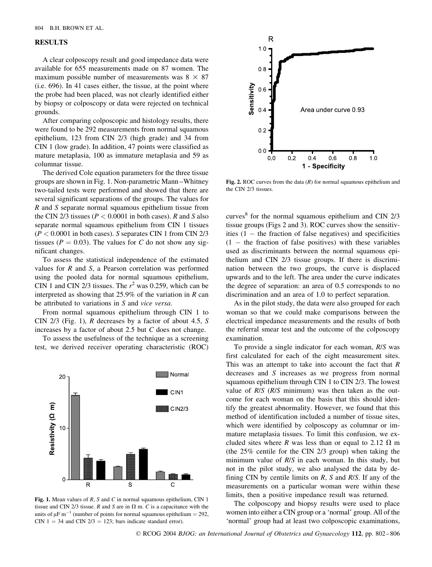#### RESULTS

A clear colposcopy result and good impedance data were available for 655 measurements made on 87 women. The maximum possible number of measurements was  $8 \times 87$ (i.e. 696). In 41 cases either, the tissue, at the point where the probe had been placed, was not clearly identified either by biopsy or colposcopy or data were rejected on technical grounds.

After comparing colposcopic and histology results, there were found to be 292 measurements from normal squamous epithelium, 123 from CIN 2/3 (high grade) and 34 from CIN 1 (low grade). In addition, 47 points were classified as mature metaplasia, 100 as immature metaplasia and 59 as columnar tissue.

The derived Cole equation parameters for the three tissue groups are shown in Fig. 1. Non-parametric Mann –Whitney two-tailed tests were performed and showed that there are several significant separations of the groups. The values for R and S separate normal squamous epithelium tissue from the CIN 2/3 tissues ( $P < 0.0001$  in both cases). R and S also separate normal squamous epithelium from CIN 1 tissues  $(P < 0.0001$  in both cases). S separates CIN 1 from CIN 2/3 tissues ( $P = 0.03$ ). The values for C do not show any significant changes.

To assess the statistical independence of the estimated values for  $R$  and  $S$ , a Pearson correlation was performed using the pooled data for normal squamous epithelium, CIN 1 and CIN 2/3 tissues. The  $r^2$  was 0.259, which can be interpreted as showing that 25.9% of the variation in  *can* be attributed to variations in S and vice versa.

From normal squamous epithelium through CIN 1 to CIN 2/3 (Fig. 1), R decreases by a factor of about 4.5, S increases by a factor of about 2.5 but C does not change.

To assess the usefulness of the technique as a screening test, we derived receiver operating characteristic (ROC)



Fig. 1. Mean values of R, S and C in normal squamous epithelium, CIN 1 tissue and CIN 2/3 tissue. R and S are in  $\Omega$  m. C is a capacitance with the units of  $\mu$ F m<sup>-1</sup> (number of points for normal squamous epithelium = 292, CIN  $1 = 34$  and CIN  $2/3 = 123$ ; bars indicate standard error).



Fig. 2. ROC curves from the data  $(R)$  for normal squamous epithelium and the CIN 2/3 tissues.

curves $8$  for the normal squamous epithelium and CIN 2/3 tissue groups (Figs 2 and 3). ROC curves show the sensitivities  $(1 -$  the fraction of false negatives) and specificities  $(1 -$  the fraction of false positives) with these variables used as discriminants between the normal squamous epithelium and CIN 2/3 tissue groups. If there is discrimination between the two groups, the curve is displaced upwards and to the left. The area under the curve indicates the degree of separation: an area of 0.5 corresponds to no discrimination and an area of 1.0 to perfect separation.

As in the pilot study, the data were also grouped for each woman so that we could make comparisons between the electrical impedance measurements and the results of both the referral smear test and the outcome of the colposcopy examination.

To provide a single indicator for each woman, R/S was first calculated for each of the eight measurement sites. This was an attempt to take into account the fact that  $$ decreases and S increases as we progress from normal squamous epithelium through CIN 1 to CIN 2/3. The lowest value of  $R/S$  ( $R/S$  minimum) was then taken as the outcome for each woman on the basis that this should identify the greatest abnormality. However, we found that this method of identification included a number of tissue sites, which were identified by colposcopy as columnar or immature metaplasia tissues. To limit this confusion, we excluded sites where R was less than or equal to 2.12  $\Omega$  m (the 25% centile for the CIN 2/3 group) when taking the minimum value of  $R/S$  in each woman. In this study, but not in the pilot study, we also analysed the data by defining CIN by centile limits on  $R$ ,  $S$  and  $R/S$ . If any of the measurements on a particular woman were within these limits, then a positive impedance result was returned.

The colposcopy and biopsy results were used to place women into either a CIN group or a 'normal' group. All of the 'normal' group had at least two colposcopic examinations,

D RCOG 2004 BJOG: an International Journal of Obstetrics and Gynaecology 112, pp. 802 – 806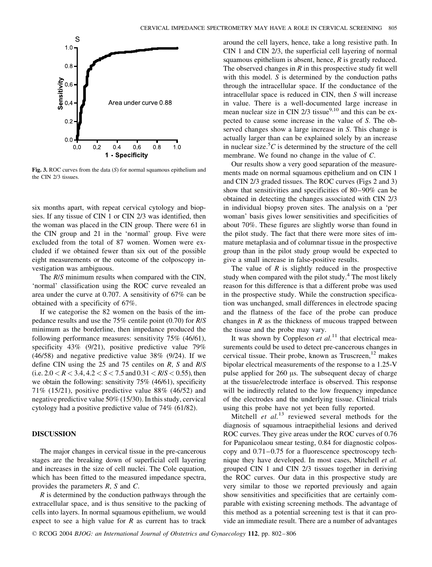

Fig. 3. ROC curves from the data  $(S)$  for normal squamous epithelium and the CIN 2/3 tissues.

six months apart, with repeat cervical cytology and biopsies. If any tissue of CIN 1 or CIN 2/3 was identified, then the woman was placed in the CIN group. There were 61 in the CIN group and 21 in the 'normal' group. Five were excluded from the total of 87 women. Women were excluded if we obtained fewer than six out of the possible eight measurements or the outcome of the colposcopy investigation was ambiguous.

The  $R/S$  minimum results when compared with the CIN, 'normal' classification using the ROC curve revealed an area under the curve at 0.707. A sensitivity of 67% can be obtained with a specificity of 67%.

If we categorise the 82 women on the basis of the impedance results and use the 75% centile point (0.70) for R/S minimum as the borderline, then impedance produced the following performance measures: sensitivity 75% (46/61), specificity 43% (9/21), positive predictive value 79% (46/58) and negative predictive value 38% (9/24). If we define CIN using the 25 and 75 centiles on R, S and R/S (i.e.  $2.0 < R < 3.4$ ,  $4.2 < S < 7.5$  and  $0.31 < R/S < 0.55$ ), then we obtain the following: sensitivity 75% (46/61), specificity 71% (15/21), positive predictive value 88% (46/52) and negative predictive value 50% (15/30). In this study, cervical cytology had a positive predictive value of 74% (61/82).

### DISCUSSION

The major changes in cervical tissue in the pre-cancerous stages are the breaking down of superficial cell layering and increases in the size of cell nuclei. The Cole equation, which has been fitted to the measured impedance spectra, provides the parameters R, S and C.

R is determined by the conduction pathways through the extracellular space, and is thus sensitive to the packing of cells into layers. In normal squamous epithelium, we would expect to see a high value for  $R$  as current has to track

around the cell layers, hence, take a long resistive path. In CIN 1 and CIN 2/3, the superficial cell layering of normal squamous epithelium is absent, hence,  $R$  is greatly reduced. The observed changes in  $R$  in this prospective study fit well with this model. S is determined by the conduction paths through the intracellular space. If the conductance of the intracellular space is reduced in CIN, then S will increase in value. There is a well-documented large increase in mean nuclear size in CIN  $2/3$  tissue<sup>9,10</sup> and this can be expected to cause some increase in the value of S. The observed changes show a large increase in S. This change is actually larger than can be explained solely by an increase in nuclear size.<sup>5</sup> $C$  is determined by the structure of the cell membrane. We found no change in the value of C.

Our results show a very good separation of the measurements made on normal squamous epithelium and on CIN 1 and CIN 2/3 graded tissues. The ROC curves (Figs 2 and 3) show that sensitivities and specificities of 80–90% can be obtained in detecting the changes associated with CIN 2/3 in individual biopsy proven sites. The analysis on a 'per woman' basis gives lower sensitivities and specificities of about 70%. These figures are slightly worse than found in the pilot study. The fact that there were more sites of immature metaplasia and of columnar tissue in the prospective group than in the pilot study group would be expected to give a small increase in false-positive results.

The value of  $R$  is slightly reduced in the prospective study when compared with the pilot study. $4$  The most likely reason for this difference is that a different probe was used in the prospective study. While the construction specification was unchanged, small differences in electrode spacing and the flatness of the face of the probe can produce changes in  *as the thickness of mucous trapped between* the tissue and the probe may vary.

It was shown by Coppleson *et al.*<sup>11</sup> that electrical measurements could be used to detect pre-cancerous changes in cervical tissue. Their probe, known as  $T$ ruscreen, $^{12}$  makes bipolar electrical measurements of the response to a 1.25-V pulse applied for  $260 \mu s$ . The subsequent decay of charge at the tissue/electrode interface is observed. This response will be indirectly related to the low frequency impedance of the electrodes and the underlying tissue. Clinical trials using this probe have not yet been fully reported.

Mitchell *et al.*<sup>13</sup> reviewed several methods for the diagnosis of squamous intraepithelial lesions and derived ROC curves. They give areas under the ROC curves of 0.76 for Papanicolaou smear testing, 0.84 for diagnostic colposcopy and  $0.71$ – $0.75$  for a fluorescence spectroscopy technique they have developed. In most cases, Mitchell et al. grouped CIN 1 and CIN 2/3 tissues together in deriving the ROC curves. Our data in this prospective study are very similar to those we reported previously and again show sensitivities and specificities that are certainly comparable with existing screening methods. The advantage of this method as a potential screening test is that it can provide an immediate result. There are a number of advantages

D RCOG 2004 BJOG: an International Journal of Obstetrics and Gynaecology 112, pp. 802 – 806